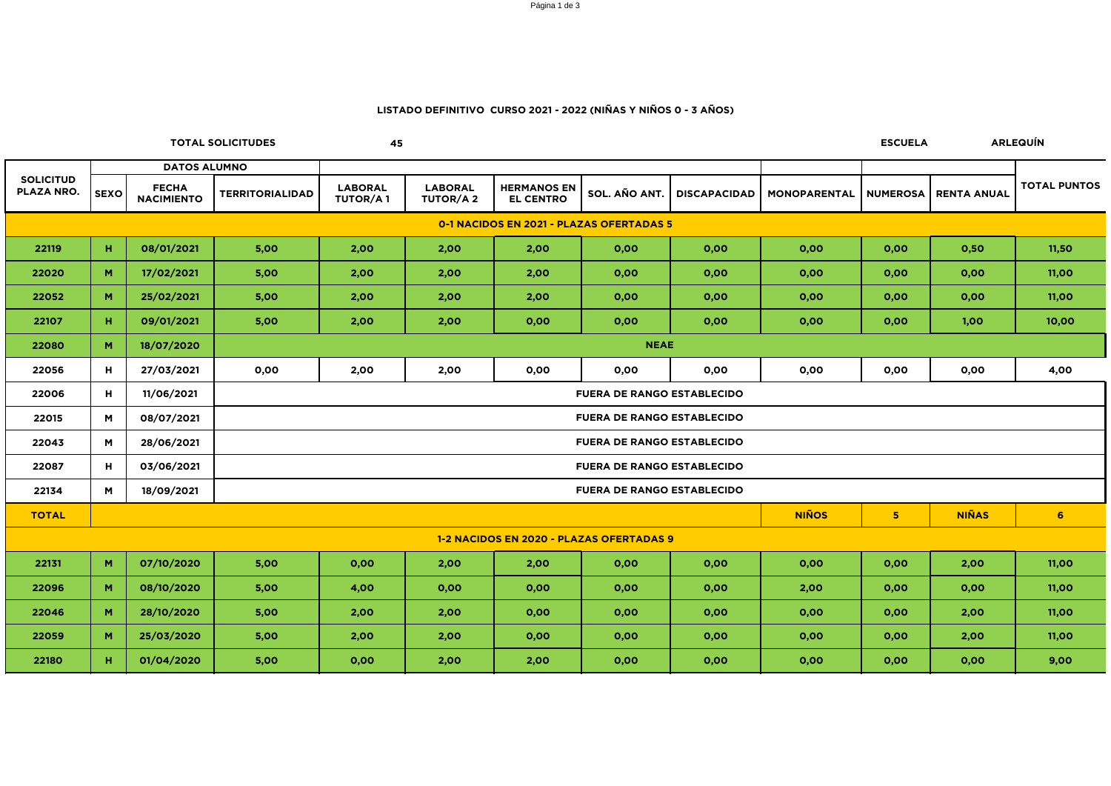|                                          |             |                                   | <b>TOTAL SOLICITUDES</b>          | 45                                                               |                                   |                                        |               |                     |                     | <b>ESCUELA</b> |                               | <b>ARLEQUÍN</b>     |  |
|------------------------------------------|-------------|-----------------------------------|-----------------------------------|------------------------------------------------------------------|-----------------------------------|----------------------------------------|---------------|---------------------|---------------------|----------------|-------------------------------|---------------------|--|
|                                          |             | <b>DATOS ALUMNO</b>               |                                   |                                                                  |                                   |                                        |               |                     |                     |                |                               |                     |  |
| <b>SOLICITUD</b><br>PLAZA NRO.           | <b>SEXO</b> | <b>FECHA</b><br><b>NACIMIENTO</b> | <b>TERRITORIALIDAD</b>            | <b>LABORAL</b><br><b>TUTOR/A1</b>                                | <b>LABORAL</b><br><b>TUTOR/A2</b> | <b>HERMANOS EN</b><br><b>EL CENTRO</b> | SOL. AÑO ANT. | <b>DISCAPACIDAD</b> | <b>MONOPARENTAL</b> |                | <b>NUMEROSA   RENTA ANUAL</b> | <b>TOTAL PUNTOS</b> |  |
| 0-1 NACIDOS EN 2021 - PLAZAS OFERTADAS 5 |             |                                   |                                   |                                                                  |                                   |                                        |               |                     |                     |                |                               |                     |  |
| 22119                                    | н.          | 08/01/2021                        | 5,00                              | 2,00                                                             | 2,00                              | 2,00                                   | 0,00          | 0,00                | 0,00                | 0,00           | 0,50                          | 11,50               |  |
| 22020                                    | M           | 17/02/2021                        | 5,00                              | 2,00                                                             | 2,00                              | 2,00                                   | 0,00          | 0,00                | 0,00                | 0,00           | 0,00                          | 11,00               |  |
| 22052                                    | M           | 25/02/2021                        | 5,00                              | 2,00                                                             | 2,00                              | 2,00                                   | 0,00          | 0,00                | 0,00                | 0,00           | 0,00                          | 11,00               |  |
| 22107                                    | н.          | 09/01/2021                        | 5,00                              | 2,00                                                             | 2,00                              | 0,00                                   | 0,00          | 0,00                | 0,00                | 0,00           | 1,00                          | 10,00               |  |
| 22080                                    | M           | 18/07/2020                        | <b>NEAE</b>                       |                                                                  |                                   |                                        |               |                     |                     |                |                               |                     |  |
| 22056                                    | H           | 27/03/2021                        | 0,00                              | 2,00                                                             | 2,00                              | 0,00                                   | 0,00          | 0,00                | 0,00                | 0,00           | 0,00                          | 4,00                |  |
| 22006                                    | H           | 11/06/2021                        | <b>FUERA DE RANGO ESTABLECIDO</b> |                                                                  |                                   |                                        |               |                     |                     |                |                               |                     |  |
| 22015                                    | M           | 08/07/2021                        | <b>FUERA DE RANGO ESTABLECIDO</b> |                                                                  |                                   |                                        |               |                     |                     |                |                               |                     |  |
| 22043                                    | M           | 28/06/2021                        | <b>FUERA DE RANGO ESTABLECIDO</b> |                                                                  |                                   |                                        |               |                     |                     |                |                               |                     |  |
| 22087                                    | H           | 03/06/2021                        |                                   | <b>FUERA DE RANGO ESTABLECIDO</b>                                |                                   |                                        |               |                     |                     |                |                               |                     |  |
| 22134                                    | M           | 18/09/2021                        | <b>FUERA DE RANGO ESTABLECIDO</b> |                                                                  |                                   |                                        |               |                     |                     |                |                               |                     |  |
| <b>TOTAL</b>                             |             |                                   |                                   | <b>NIÑOS</b><br><b>NIÑAS</b><br>5 <sub>1</sub><br>6 <sup>1</sup> |                                   |                                        |               |                     |                     |                |                               |                     |  |
| 1-2 NACIDOS EN 2020 - PLAZAS OFERTADAS 9 |             |                                   |                                   |                                                                  |                                   |                                        |               |                     |                     |                |                               |                     |  |
| 22131                                    | M           | 07/10/2020                        | 5,00                              | 0,00                                                             | 2,00                              | 2,00                                   | 0,00          | 0,00                | 0,00                | 0,00           | 2,00                          | 11,00               |  |
| 22096                                    | M           | 08/10/2020                        | 5,00                              | 4,00                                                             | 0,00                              | 0,00                                   | 0,00          | 0,00                | 2,00                | 0,00           | 0,00                          | 11,00               |  |
| 22046                                    | M           | 28/10/2020                        | 5,00                              | 2,00                                                             | 2,00                              | 0,00                                   | 0,00          | 0,00                | 0,00                | 0,00           | 2,00                          | 11,00               |  |
| 22059                                    | M           | 25/03/2020                        | 5,00                              | 2,00                                                             | 2,00                              | 0,00                                   | 0,00          | 0,00                | 0,00                | 0,00           | 2,00                          | 11,00               |  |
| 22180                                    | н.          | 01/04/2020                        | 5,00                              | 0,00                                                             | 2,00                              | 2,00                                   | 0,00          | 0,00                | 0,00                | 0,00           | 0,00                          | 9,00                |  |

## **LISTADO DEFINITIVO CURSO 2021 - 2022 (NIÑAS Y NIÑOS 0 - 3 AÑOS)**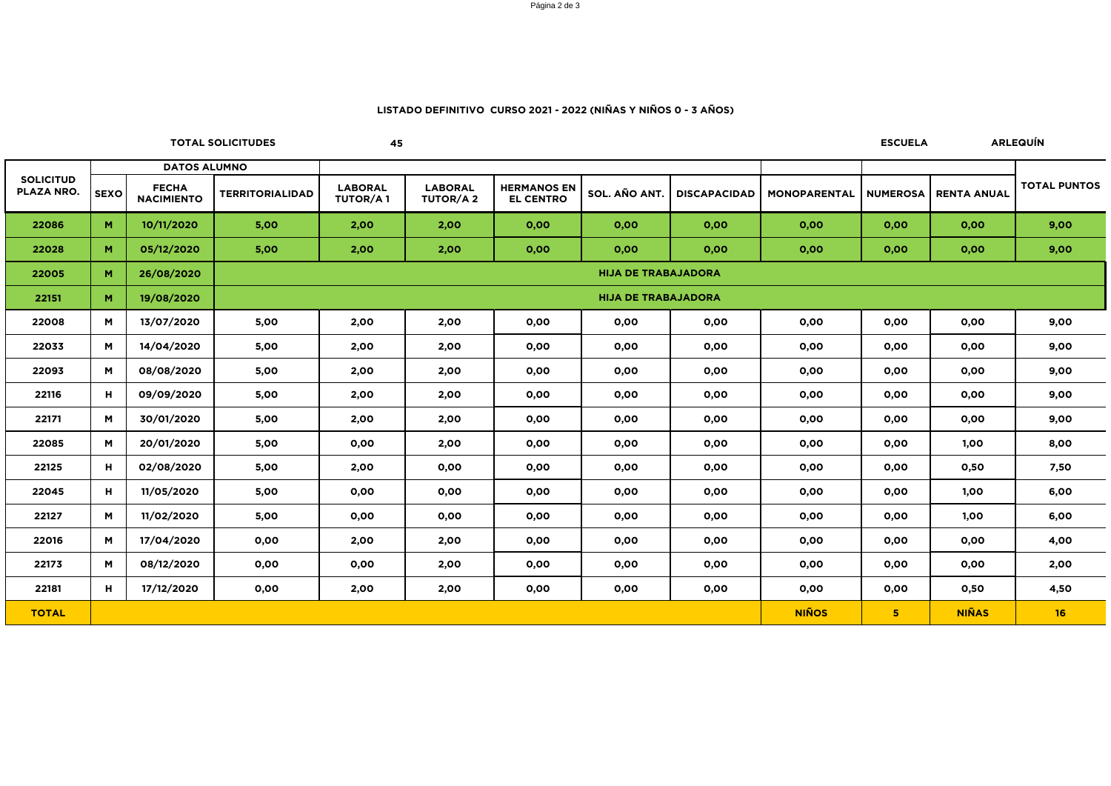### Página 2 de 3

**45**

### **LISTADO DEFINITIVO CURSO 2021 - 2022 (NIÑAS Y NIÑOS 0 - 3 AÑOS)**

**TOTAL SOLICITUDES ESCUELA ARLEQUÍN**

|                                       | <b>DATOS ALUMNO</b> |                                   |                            |                                   |                                   |                                        |               |                     |                     |                 |                    |                     |  |
|---------------------------------------|---------------------|-----------------------------------|----------------------------|-----------------------------------|-----------------------------------|----------------------------------------|---------------|---------------------|---------------------|-----------------|--------------------|---------------------|--|
| <b>SOLICITUD</b><br><b>PLAZA NRO.</b> | <b>SEXO</b>         | <b>FECHA</b><br><b>NACIMIENTO</b> | <b>TERRITORIALIDAD</b>     | <b>LABORAL</b><br><b>TUTOR/A1</b> | <b>LABORAL</b><br><b>TUTOR/A2</b> | <b>HERMANOS EN</b><br><b>EL CENTRO</b> | SOL. AÑO ANT. | <b>DISCAPACIDAD</b> | <b>MONOPARENTAL</b> | <b>NUMEROSA</b> | <b>RENTA ANUAL</b> | <b>TOTAL PUNTOS</b> |  |
| 22086                                 | M                   | 10/11/2020                        | 5,00                       | 2,00                              | 2,00                              | 0,00                                   | 0,00          | 0,00                | 0,00                | 0,00            | 0,00               | 9,00                |  |
| 22028                                 | M                   | 05/12/2020                        | 5,00                       | 2,00                              | 2,00                              | 0,00                                   | 0,00          | 0,00                | 0,00                | 0,00            | 0,00               | 9,00                |  |
| 22005                                 | M                   | 26/08/2020                        | <b>HIJA DE TRABAJADORA</b> |                                   |                                   |                                        |               |                     |                     |                 |                    |                     |  |
| 22151                                 | M                   | 19/08/2020                        | <b>HIJA DE TRABAJADORA</b> |                                   |                                   |                                        |               |                     |                     |                 |                    |                     |  |
| 22008                                 | M                   | 13/07/2020                        | 5,00                       | 2,00                              | 2,00                              | 0,00                                   | 0,00          | 0,00                | 0,00                | 0,00            | 0,00               | 9,00                |  |
| 22033                                 | M                   | 14/04/2020                        | 5,00                       | 2,00                              | 2,00                              | 0,00                                   | 0,00          | 0,00                | 0,00                | 0,00            | 0,00               | 9,00                |  |
| 22093                                 | M                   | 08/08/2020                        | 5,00                       | 2,00                              | 2,00                              | 0,00                                   | 0,00          | 0,00                | 0,00                | 0,00            | 0,00               | 9,00                |  |
| 22116                                 | H                   | 09/09/2020                        | 5,00                       | 2,00                              | 2,00                              | 0,00                                   | 0,00          | 0,00                | 0,00                | 0,00            | 0,00               | 9,00                |  |
| 22171                                 | M                   | 30/01/2020                        | 5,00                       | 2,00                              | 2,00                              | 0,00                                   | 0,00          | 0,00                | 0,00                | 0,00            | 0,00               | 9,00                |  |
| 22085                                 | M                   | 20/01/2020                        | 5,00                       | 0,00                              | 2,00                              | 0,00                                   | 0,00          | 0,00                | 0,00                | 0,00            | 1,00               | 8,00                |  |
| 22125                                 | Н                   | 02/08/2020                        | 5,00                       | 2,00                              | 0,00                              | 0,00                                   | 0,00          | 0,00                | 0,00                | 0,00            | 0,50               | 7,50                |  |
| 22045                                 | H                   | 11/05/2020                        | 5,00                       | 0,00                              | 0,00                              | 0,00                                   | 0,00          | 0,00                | 0,00                | 0,00            | 1,00               | 6,00                |  |
| 22127                                 | M                   | 11/02/2020                        | 5,00                       | 0,00                              | 0,00                              | 0,00                                   | 0,00          | 0,00                | 0,00                | 0,00            | 1,00               | 6,00                |  |
| 22016                                 | M                   | 17/04/2020                        | 0,00                       | 2,00                              | 2,00                              | 0,00                                   | 0,00          | 0,00                | 0,00                | 0,00            | 0,00               | 4,00                |  |
| 22173                                 | M                   | 08/12/2020                        | 0,00                       | 0,00                              | 2,00                              | 0,00                                   | 0,00          | 0,00                | 0,00                | 0,00            | 0,00               | 2,00                |  |
| 22181                                 | H                   | 17/12/2020                        | 0,00                       | 2,00                              | 2,00                              | 0,00                                   | 0,00          | 0,00                | 0,00                | 0,00            | 0,50               | 4,50                |  |
| <b>TOTAL</b>                          |                     |                                   |                            |                                   |                                   |                                        |               |                     | <b>NIÑOS</b>        | 5 <sub>1</sub>  | <b>NIÑAS</b>       | 16                  |  |